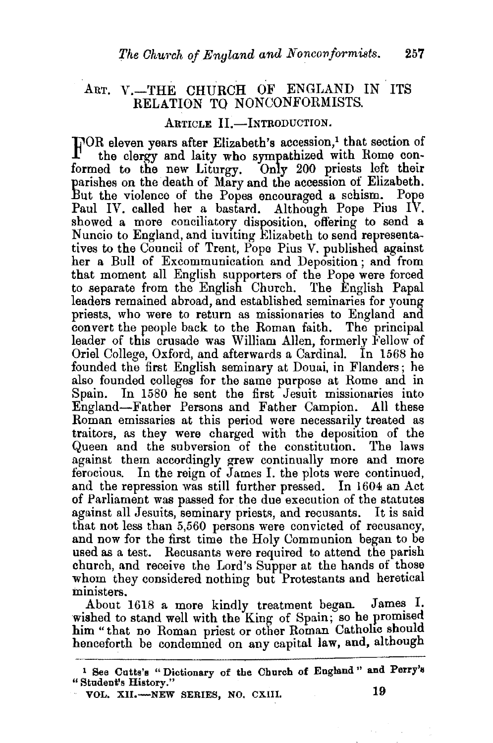## ART. V.-THE CHURCH OF ENGLAND IN ITS RELATION TQ NONCONFORMISTS.

## ARTICLE II.-INTRODUCTION.

FOR eleven years after Elizabeth's accession,<sup>1</sup> that section of the clergy and laity who sympathized with Rome conformed to the new Liturgy. Only 200 priests left their parishes on the death of Mary and the accession of Elizabeth. But the violence of the Popes encouraged a schism. Pope Paul IV. called her a bastard. Although Pope Pius IV. showed a more conciliatory disposition, offering to send a Nuncio to England, and inviting Elizabeth to send representatives to the Council of Trent, Pope Pius V. published against her a Bull of Excommunication and Deposition ; and from that moment all English supporters of the Pope were forced to separate from the English Church. The English Papal leaders remained abroad, and established seminaries for young priests, who were to return as missionaries to England and convert the people back to the Roman faith. The principal leader of this crusade was William Allen, formerly Fellow of Oriel College, Oxford, and afterwards a Cardinal. In 1568 he founded the first English seminary at Douai, in Flanders ; he also founded colleges for the same purpose at Rome and in Spain. In 1580 he sent the first Jesuit missionaries into England-Father Persons and Father Campion. All these Roman emissaries at this period were necessarily treated as traitors, as they were charged with the deposition of the Queen and the subversion of the constitution. The laws against them accordingly grew continually more and more ferocious. In the reign of James I. the plots were continued, and the repression was still further pressed. In 1604 an Act of Parliament was passed for the due execution of the statutes against all Jesuits, seminary priests, and recusants. It is said that not less than 5,560 persons were convicted of recusancy, and now for the first time the Holy Communion began to be used as a test. Recusants were required to attend the parish church, and receive the Lord's Supper at the hands of those whom they considered nothing but Protestants and heretical ministers.

About 1618 a more kindly treatment began. James  $I$ . wished to stand well with the King of Spain; so he promised him "that no Roman priest or other Roman Catholic should henceforth be condemned on any capital law, and, although

VOL. XII.-NEW SERIES, NO. CXIII. 19

<sup>1</sup> See Cutts's "Dictionary of the Church of England" and Perry's "Student's History."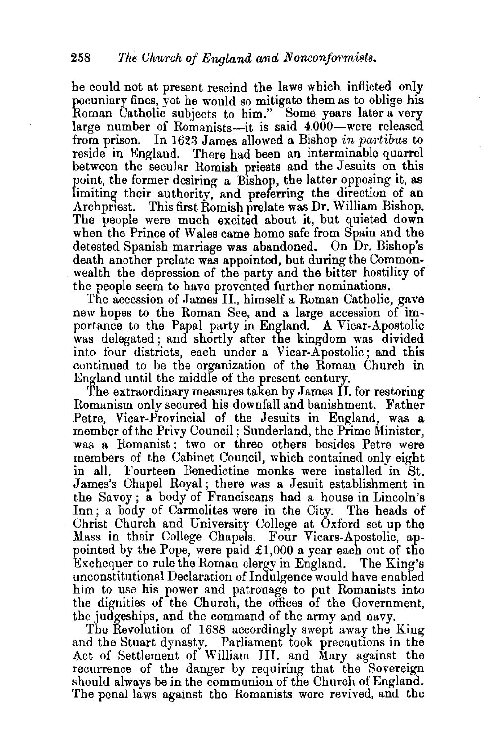he could not at present rescind the laws which inflicted only pecuniary fines, yet he would so mitigate them as to oblige his Roman Catholic subjects to him." Some years later a very large number of Romanists-it is said 4,000-were released from prison. In 1623 James allowed a Bishop *in partibus* to reside in England. There had been an interminable quarrel between the secular Romish priests and the Jesuits on this point, the former desiring a Bishop, the latter opposing it, as limiting their authority, and preferring the direction of an Archpriest. This first Romish prelate was Dr. William Bishop. The people were much excited about it, but quieted down when the Prince of Wales came homo safe from Spain and the detested Spanish marriage was abandoned. On Dr. Bishop's death another prelate was appointed, but during the Commonwealth the depression of the party and the bitter hostility of the people seem to have prevented further nominations.

The accession of James II., himself a Roman Catholic, gave new hopes to the Roman See, and a large accession of importance to the Papal party in England. A Vicar-Apostolic was delegated; and shortly after the kingdom was divided into four districts, each under a Vicar-Apostolic; and this continued to be the organization of the Roman Church in England until the middle of the present century.

'fhe extraordinary measures taken by James II. for restoring Romanism only secured his downfall and banishment. Father Petre, Vicar-Provincial of the Jesuits in England, was a member of the Privy Council; Sunderland, the Prime Minister, was a Romanist; two or three others besides Petre were members of the Cabinet Council, which contained only eight in all. Fourteen Benedictine monks were installed in St. James's Chapel Royal; there was a Jesuit establishment in the Savoy ; a body of Franciscans had a house in Lincoln's Inn ; a body of Carmelites were in the City. The heads of Christ Church and University College at Oxford set up the Mass in their College Chapels. Four Vicars-Apostolic, appointed by the Pope, were paid £1,000 a year each out of the Exchequer to rule the Roman clergy in England. The King's unconstitutional Declaration of Indulgence would have enabled him to use his power and patronage to put Romanists into the dignities of the Church, the offices of the Government, the judgeships, and the command of the army and navy.

The Revolution of 1688 accordingly swept away the Kingand the Stuart dynasty. Parliament took precautions in the Act of Settlement of William III. and Mary against the recurrence of the danger by requiring that the Sovereign should always be in the communion of the Church of England. The penal laws against the Romanists were revived, and the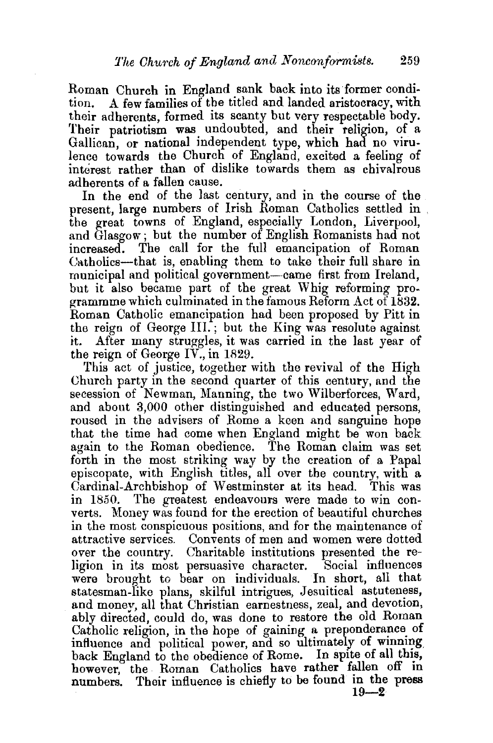Roman Church in England sank back into its former condition. A few families of the titled and landed aristocracy, with their adherents, formed its scanty but very respectable body. Their patriotism was undoubted, and their religion, of a Gallican, or national independent type, which had no virulence towards the Church of England, excited a feeling of interest rather than of dislike towards them as chivalrous adherents of a fallen cause.

In the end of the last century, and in the course of the present, large numbers of Irish Roman Catholics settled in the great towns of England, especially London, LiverpooL and Glasgow; but the number of English Romanists had not increased. The call for the full emancipation of Roman Uatholics-that is, enabling them to take their full share in municipal and political government-came first from Ireland, but it also became part of the great Whig reforming programmme which culminated in the famous Reform Act of  $1832$ . Roman Catholic emancipation had been proposed by Pitt in the reign of George III.; but the King was resolute against it. After many struggles, it was carried in the last year of the reign of George IV., in 1829.

This act of justice, together with the revival of the High Church party in the second quarter of this century, and the secession of Newman, Manning, the two Wilberforces, Ward, and about 3,000 other distinguished and educated persons, roused in the advisers of Rome a keen and sanguine hope that the time had come when England might be won back again to the Roman obedience. The Roman claim was set forth in the most striking way by the creation of a Papal episcopate, with English titles, all over the country, with a Cardinal-Archbishop of Westminster at its head. This was in 1850. The greatest endeavours were made to win converts. Money was found for the erection of beautiful churches in the most conspicuous positions, and for the maintenance of attractive services. Convents of men and women were dotted over the country. Charitable institutions presented the religion in its most persuasive character. Social influences were brought to bear on individuals. In short, all that statesman-like plans, skilful intrigues, Jesuitical astuteness, and money, all that Christian earnestness, zeal, and devotion, ably directed, could do, was done to restore the old Roman Catholic religion, in the hope of gaining a preponderance of influence and political power, and so ultimately of winning back England to the obedience of Rome. In spite of all this, however, the Roman Catholics have rather fallen off in numbers. Their influence is chiefly to be found in the press  $\frac{19-2}{2}$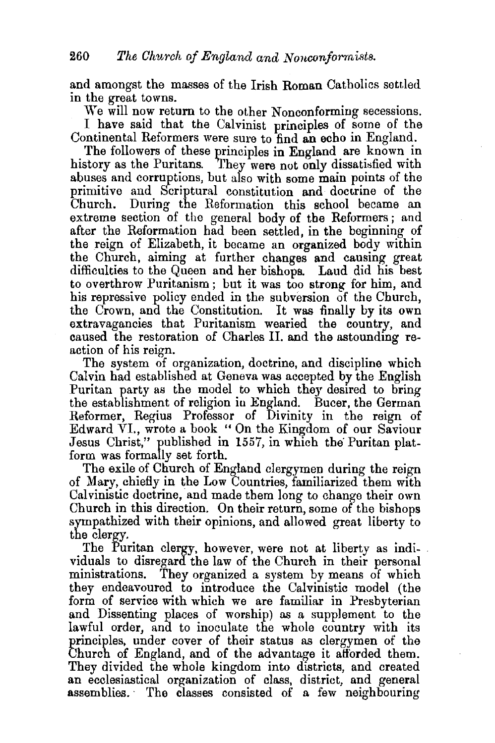and amongst the masses of the Irish Roman Catholics settled in the great towns.

We will now return to the other Nonconforming secessions. I have said that the Calvinist principles of some of the Continental Reformers were sure to find an echo in England.

The followers of these principles in England are known in history as the Puritans. They were not only dissatisfied with abuses and corruptions, but also with some main points of the primitive and Scriptural constitution and doctrine of the Church. During the Reformation this school became an extreme section of the general body of the Reformers; and after the Reformation had been settled, in the beginning of the reign of Elizabeth, it became an organized body within the Church, aiming at further changes and causing great difficulties to the Queen and her bishops. Laud did his best to overthrow Puritanism ; but it was too strong for him, and his repressive policy ended in the subversion of the Church, the Crown, and the Constitution. It was finally by its own extravagancies that Puritanism wearied the country, and caused the restoration of Charles II. and the astounding reaction of his reign.

The system of organization, doctrine, and discipline which Calvin had established at Geneva was accepted by the English Puritan party as the model to which they desired to bring the establishment of religion in England. Bucer, the German Reformer, Regius Professor of Divinity in the reign of Edward VI., wrote a book "On the Kingdom of our Saviour Jesus Christ," published in 1557, in which the Puritan platform was formally set forth.

The exile of Church of England clergymen during the reign of Mary, chiefly in the Low Countries, familiarized them with Calvinistic doctrine, and made them long to change their own Church in this direction. On their return, some of the bishops sympathized with their opinions, and allowed great liberty to the clergy.

The Puritan clergy, however, were not at liberty as indi- . viduals to disregard the law of the Church in their personal ministrations. They organized a system by means of which they endeavoured to introduce the Calvinistic model (the form of service with which we are familiar in Presbyterian and Dissenting places of worship) as a supplement to the lawful order, and to inoculate the whole country with its principles, under cover of their status as clergymen of the Church of England, and of the advantage it afforded them. They divided the whole kingdom into districts, and created an ecclesiastical organization of class, district, and general assemblies.· The classes consisted of a few neighbouring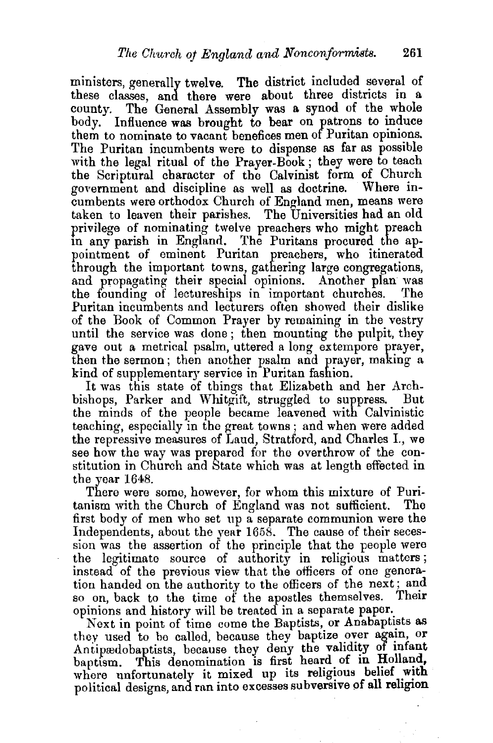ministers, generally twelve. The district included several of these classes, and there were about three districts in a county. The General Assembly was a synod of the whole body. Influence was brought to bear on patrons to induce them to nominate to vacant benefices men of Puritan opinions. The Puritan incumbents were to dispense as far as possible with the legal ritual of the Prayer-Book; they were to teach the Scriptural character of the Calvinist form of Church government and discipline as well as doctrine. Where incumbents were orthodox Church of England men, means were taken to leaven their parishes. The Universities had an old privilege of nominating twelve preachers who might preach m any parish in England. The Puritans procured the appointment of eminent Puritan preachers, who itinerated through the important towns, gathering large congregations, and propagating their special opinions. Another plan was the founding of lectureships in important churches. The Puritan incumbents and lecturers often showed their dislike of the Book of Common Prayer by remaining in the vestry until the service was done ; then mounting the pulpit, they gave out a metrical psalm, uttered a long extempore prayer, then the sermon ; then another psalm and prayer, making a kind of supplementary service in Puritan fashion.

It was this state of things that Elizabeth and her Archbishops, Parker and Whitgift, struggled to suppress. But the minds of the people became leavened with Calvinistic teaching, especially in the great towns ; and when were added the repressive measures of Laud, Stratford, and Charles I., we see how the way was prepared for the overthrow of the constitution in Church and 8tate which was at length effected in the year 1648.

There were some, however, for whom this mixture of Puritanism with the Church of England was not sufficient. The first body of men who set up a separate communion were the Independents, about the year 1658. The cause of their secession was the assertion of the principle that the people were the legitimate source of authority in religious matters ; instead of the previous view that the officers of one generation handed on the authority to the officers of the next; and so on, back to the time of the apostles themselves. Their opinions and history will be treated in a separate paper.

Next in point of time come the Baptists, or Anabaptists as they used to be called, because they baptize over again, or Antipredobaptists, because they deny the validity of infant baptism. This denomination is first heard of in Holland, where unfortunately it mixed up its religious belief with political designs, and ran into excesses subversive of all religion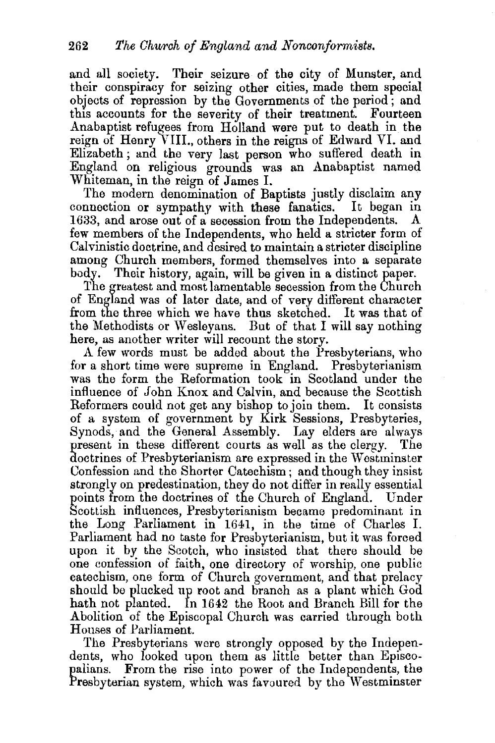and all society. Their seizure of the city of Munster, and their conspiracy for seizing other cities, made them special objects of repression by the Governments of the period; and this accounts for the severity of their treatment. Fourteen Anabaptist refugees from Holland were put to death in the reign of Henry VIII., others in the reigns of Edward VI. and Elizabeth ; and the very last person who suffered death in England on religious grounds was an Anabaptist named Whiteman, in the reign of James I.

The modern denomination of Baptists justly disclaim any connection or sympathy with these fanatics. It began in 1633, and arose out of a secession from the Independents. A few members of the Independents, who held a stricter form of Calvinistic doctrine, and desired to maintain a stricter discipline among Church members, formed themselves into a separate body. Their history, again, will be given in a distinct paper.

The greatest and most lamentable secession from the Church of England was of later date, and of very different character from the three which we have thus sketched. It was that of the Methodists or Wesleyans. But of that I will say nothing here, as another writer will recount the story.

A few words must be added about the Presbyterians, who for a short time were supreme in England. Presbyterianism was the form the Reformation took in Scotland under the influence of John Knox and Calvin, and because the Scottish Reformers could not get any bishop to join them. It consists of a system of government by Kirk Sessions, Presbyteries, Synods, and the General Assembly. Lay elders are always present in these different courts as well as the clergy. The doctrines of Presbyterianism are expressed in the Westminster Confession and the Shorter Catechism; and though they insist strongly on predestination, they do not differ in really essential points from the doctrines of the Church of England. Under Scottish influences, Presbyterianism became predominant in the Long Parliament in 1641, in the time of Charles I. Parliament had no taste for Presbyterianism, but it was forced upon it by the Scotch, who insisted that there should be one confession of faith, one directory of worship, one public catechism, one form of Church government, and that prelacy should be plucked up root and branch as a plant which God hath not planted. In 1642 the Root and Branch Bill for the Abolition of the Episcopal Church was carried through both Houses of Parliament.

The Presbyterians were strongly opposed by the Independents, who looked upon them as little better than Episcopalians. From the rise into power of the Independents, the Presbyterian system, which was favoured by the Westminster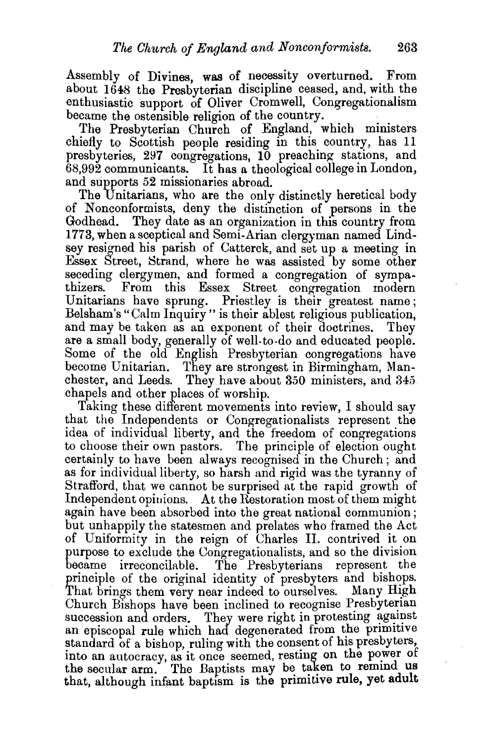Assembly of Divines, was of necessity overturned. From about 1648 the Presbyterian discipline ceased, and, with the enthusiastic support of Oliver Cromwell, Congregationalism became the ostensible religion of the country.

The Presbyterian Church of England, which ministers chiefly to Scottish people residing in this country, has 11 presbyteries, 297 congregations, 10 preaching stations, and 68,992 communicants. It has a theological college in London, and supports 52 missionaries abroad.

The Unitarians, who are the only distinctly heretical body of Nonconformists, deny the distinction of persons in the Godhead. They date as an organization in this country from 1773, when a sceptical and Semi-Arian clergyman named Lindsey resigned his parish of Catterck, and set up a meeting in Essex Street, Strand, where he was assisted by some other seceding clergymen, and formed a congregation of sympa-<br>thizers. From this Essex Street congregation modern From this Essex Street congregation modern Unitarians have sprung. Priestley is their greatest name; Belsham's "Calm Inquiry" is their ablest religious publication, and may be taken as an exponent of their doctrines. They are a small body, generally of well-to-do and educated people. Some of the old English Presbyterian congregations have become Unitarian. They are strongest in Birmingham, Manchester, and Leeds. They have about 350 ministers, and 345 chapels and other places of worship.

Taking these different movements into review, I should say that the Independents or Congregationalists represent the idea of individual liberty, and the freedom of congregations to choose their own pastors. The principle of election ought certainly to have been always recognised in the Church; and as for individual liberty, so harsh and rigid was the tyranny of Strafford, that we cannot be surprised at the rapid growth of Independent opinions. At the Restoration most of them might again have been absorbed into the great national communion; but unhappily the statesmen and prelates who framed the Act of Uniformity in the reign of Charles II. contrived it on purpose to exclude the Congregationalists, and so the division became irreconcilable. The Presbyterians represent the principle of the original identity of presbyters and bishops. That brings them very near indeed to ourselves. Many High Church Bishops have been inclined to recognise Presbyterian succession and orders. They were right in protesting against an episcopal rule which had degenerated from the primitive standard of a bishop, ruling with the consent of his presbyters, into an autocracy, as it once seemed, resting on the power of the secular arm. The Baptists may be taken to remind us that, although infant baptism is the primitive rule, yet adult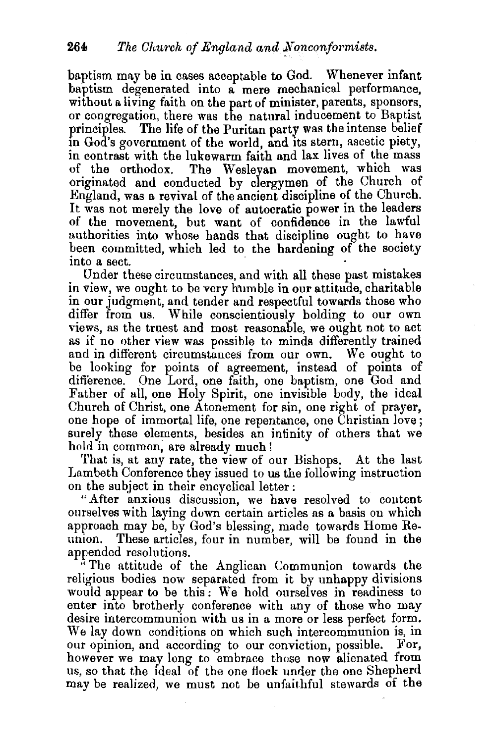baptism may be in cases acceptable to God. Whenever infant baptism degenerated into a mere mechanical performance, without a living faith on the part of minister, parents, sponsors, or congregation, there was the natural inducement to Baptist principles. The life of the Puritan party was the intense belief in God's government of the world, and its stern, ascetic piety, in contrast with the lukewarm faith and lax lives of the mass of the orthodox. The Wesleyan movement, which was originated and conducted by clergymen of the Church of England, was a revival of the ancient discipline of the Church. It was not merely the love of autocratic power in the leaders of the movement, but want of confidence in the lawful authorities into whose bands that discipline ought to have been committed, which led to the hardening of the society into a sect.

Under these circumstances, and with all these past mistakes in view, we ought to be very humble in our attitude, charitable in our judgment, and tender and respectful towards those who differ from us. While conscientiously holding to our own views, as the truest and most reasonable, we ought not to act as if no other view was possible to minds differently trained and in different circumstances from our own. We ought to be looking for points of agreement, instead of points of difference. One Lord, one faith, one baptism, one God and Father of all, one Holy Spirit, one invisible body, the ideal Church of Christ, one Atonement for sin, one right of prayer, one hope of immortal life, one repentance, one Christian love; surely these elements, besides an infinity of others that we hold in common; are already much l

That is, at any rate, the view of our Bishops. At the last Lambeth Conference they issued to us the following instruction on the subject in their encyclical letter :

"After anxious discussion, we have resolved to content ourselves with laying down certain articles as a basis on which approach may be, by God's blessing, made towards Home Reunion. These articles, four in number, will be found in the appended resolutions.

"The attitude of the Anglican Communion towards the religious bodies now separated from it by unhappy divisions would appear to be this: We hold ourselves in readiness to enter into brotherly conference with any of those who may desire intercommunion with us in a more or less perfect form. We lay down conditions on which such intercommunion is, in our opinion, and according to our conviction, possible. For, however we may long to embrace those now alienated from us, so that the Ideal of the one flock under tbe one Shepherd may be realized, we must not be unfaithful stewards of the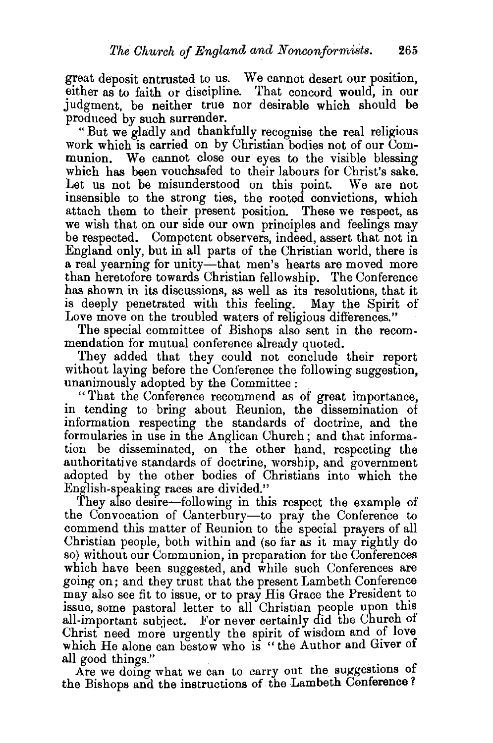great deposit entrusted to us. We cannot desert our position, either as to faith or discipline. That concord would, in our judgment, be neither true nor desirable which should be produced by such surrender.

"But we gladly and thankfully recognise the real religious work which is carried on by Christian bodies not of our Communion. We cannot close our eyes to the visible blessing which has been vouchsafed to their labours for Christ's sake. Let us not be misunderstood on this point. We are not insensible to the strong ties, the rooted convictions, which attach them to their present position. These we respect, as we wish that on our side our own principles and feelings may be respected. Competent observers, indeed, assert that not in England only, but in all parts of the Christian world, there is a real yearning for unity—that men's hearts are moved more than heretofore towards Christian fellowship. The Conference has shown in its discussions, as well as its resolutions, that it is deeply penetrated with this feeling. May the Spirit of Love move on the troubled waters of religious differences."

The special committee of Bishops also sent in the recommendation for mutual conference already quoted.

They added that they could not conclude their report without laying before the Conference the following suggestion, unanimously adopted by the Committee :

" That the Conference recommend as of great importance, in tending to bring about Reunion, the dissemination of information respecting the standards of doctrine, and the formularies in use in the Anglican Church ; and that information be disseminated, on the other hand, respecting the authoritative standards of doctrine, worship, and government adopted by the other bodies of Christians into which the English-speaking races are divided."

They also desire-following in this respect the example of the Convocation of Canterbury-to pray the Conference to commend this matter of Reunion to the special prayers of all Christian people, both within and (so far as it may rightly do so) without our Communion, in preparation for the Conferences which have been suggested, and while such Conferences are going on; and they trust that the present I~ambeth Conference may also see fit to issue, or to pray His Grace the President to issue, some pastoral letter to all Christian people upon this all-important subject. For never certainly did the Church of Christ need more urgently the spirit of wisdom and of love which He alone can bestow who is "the Author and Giver of

all good things."<br>Are we doing what we can to carry out the suggestions of the Bishops and the instructions of the Lambeth Conference ?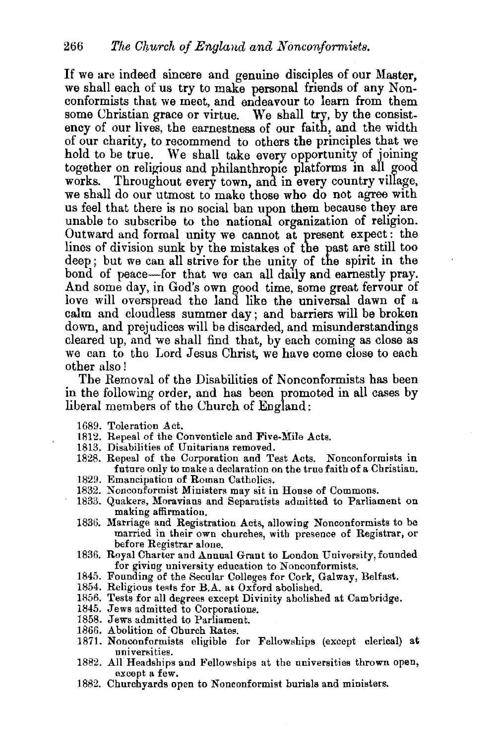If we are indeed sincere and genuine disciples of our Master, we shall each of us try to make personal friends of any Nonconformists that we meet, and endeavour to learn from them some Christian grace or virtue. We shall try, by the consistency of our lives, the earnestness of our faith, and the width of our charity, to recommend to others the principles that we hold to be true. We shall take every opportunity of joining together on religious and philanthropic platforms in all good works. Throughout every town, and in every country village, we shall do our utmost to make those who do not agree with us feel that there is no social ban upon them because they are unable to subscribe to the national organization of religion. Outward and formal unity we cannot at present expect : the lines of division sunk by the mistakes of the past are still too deep; but we can all strive for the unity of the spirit in the bond of peace-for that we can all daily and earnestly pray. And some day, in God's own good time, some great fervour of love will overspread the land like the universal dawn of a calm and cloudless summer day; and barriers will be broken down, and prejudices will be discarded, and misunderstandings cleared up, and we shall find that, by each coming as close as we can to the Lord Jesus Christ, we have come close to each other also!

The Removal of the Disabilities of Nonconformists has been in the following order, and has been promoted in all cases by liberal members of the Church of England:

- 1689. Toleration Act.
- 1812. Repeal of the Conventicle and Five-Mile Acts.
- 1813. Disabilities of Unitarians removed.
- 1828. Repeal of the Corporation and Test Acts. Nonconformists in future only to make a declaration on the true faith of a Christian.
- 1829. Emancipation of Roman Catholics.
- 1832. Nonconformist Ministers may sit in House of Commons.
- 1833. Quakers, Moravians and Separatists admitted to Parliament on making affirmation.
- 1836. Marriage and Registration Acts, allowing Nonconformists to be married in their own churches, with presence of Registrar, or before Registrar alone.
- 1836. Royal Charter and Annual Grant to London University, founded for giving university education to Nonconformists.
- 1845. Founding of the Secular Colleges for Cork, Galway, Belfast.
- 1854. Religious tests for  $B.A.$  at Oxford abolished.
- 1856. Tests for all degrees except Divinity abolished at Cambridge.
- 1845. Jews admitted to Corporations.
- 1858. Jews admitted to Parliament.
- 1866. Abolition of Church Rates.
- 1871. Nonconformists eligible for Fellowships (except clerical) at universities.
- 1882. All Headships and Fellowships at the universities thrown open, except a few.
- 1882. Churchyards open to Nonconformist burials and ministers.